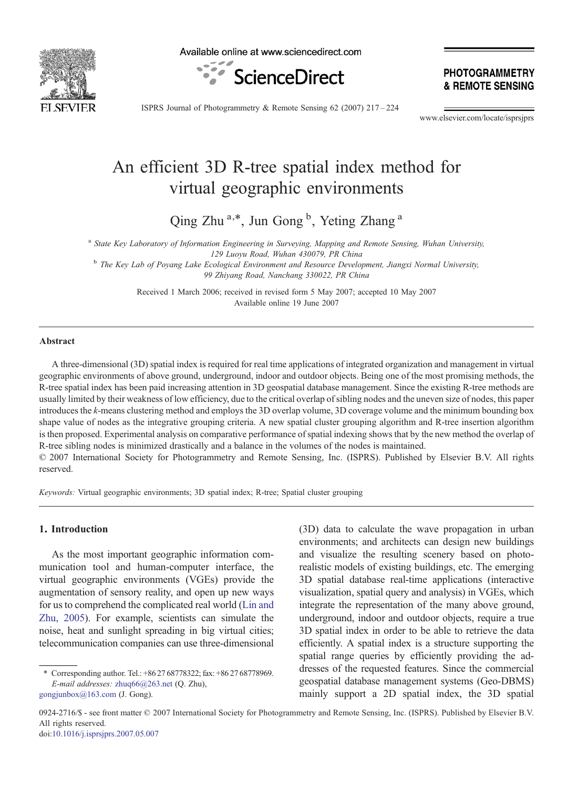

Available online at www.sciencedirect.com



**PHOTOGRAMMETRY** & REMOTE SENSING

ISPRS Journal of Photogrammetry & Remote Sensing 62 (2007) 217–224

www.elsevier.com/locate/isprsjprs

# An efficient 3D R-tree spatial index method for virtual geographic environments

Qing Zhu<sup>a,\*</sup>, Jun Gong<sup>b</sup>, Yeting Zhang<sup>a</sup>

<sup>a</sup> State Key Laboratory of Information Engineering in Surveying, Mapping and Remote Sensing, Wuhan University, 129 Luoyu Road, Wuhan 430079, PR China

<sup>b</sup> The Key Lab of Poyang Lake Ecological Environment and Resource Development, Jiangxi Normal University, 99 Zhiyang Road, Nanchang 330022, PR China

> Received 1 March 2006; received in revised form 5 May 2007; accepted 10 May 2007 Available online 19 June 2007

#### Abstract

A three-dimensional (3D) spatial index is required for real time applications of integrated organization and management in virtual geographic environments of above ground, underground, indoor and outdoor objects. Being one of the most promising methods, the R-tree spatial index has been paid increasing attention in 3D geospatial database management. Since the existing R-tree methods are usually limited by their weakness of low efficiency, due to the critical overlap of sibling nodes and the uneven size of nodes, this paper introduces the k-means clustering method and employs the 3D overlap volume, 3D coverage volume and the minimum bounding box shape value of nodes as the integrative grouping criteria. A new spatial cluster grouping algorithm and R-tree insertion algorithm is then proposed. Experimental analysis on comparative performance of spatial indexing shows that by the new method the overlap of R-tree sibling nodes is minimized drastically and a balance in the volumes of the nodes is maintained. © 2007 International Society for Photogrammetry and Remote Sensing, Inc. (ISPRS). Published by Elsevier B.V. All rights

reserved.

Keywords: Virtual geographic environments; 3D spatial index; R-tree; Spatial cluster grouping

## 1. Introduction

As the most important geographic information communication tool and human-computer interface, the virtual geographic environments (VGEs) provide the augmentation of sensory reality, and open up new ways for us to comprehend the complicated real world [\(Lin and](#page-7-0) [Zhu, 2005\)](#page-7-0). For example, scientists can simulate the noise, heat and sunlight spreading in big virtual cities; telecommunication companies can use three-dimensional

(3D) data to calculate the wave propagation in urban environments; and architects can design new buildings and visualize the resulting scenery based on photorealistic models of existing buildings, etc. The emerging 3D spatial database real-time applications (interactive visualization, spatial query and analysis) in VGEs, which integrate the representation of the many above ground, underground, indoor and outdoor objects, require a true 3D spatial index in order to be able to retrieve the data efficiently. A spatial index is a structure supporting the spatial range queries by efficiently providing the addresses of the requested features. Since the commercial geospatial database management systems (Geo-DBMS) mainly support a 2D spatial index, the 3D spatial

0924-2716/\$ - see front matter © 2007 International Society for Photogrammetry and Remote Sensing, Inc. (ISPRS). Published by Elsevier B.V. All rights reserved. doi[:10.1016/j.isprsjprs.2007.05.007](http://dx.doi.org/10.1016/j.isprsjprs.2007.05.007)

<sup>⁎</sup> Corresponding author. Tel.: +86 27 68778322; fax: +86 27 68778969. E-mail addresses: [zhuq66@263.net](mailto:zhuq66@263.net) (Q. Zhu), [gongjunbox@163.com](mailto:gongjunbox@163.com) (J. Gong).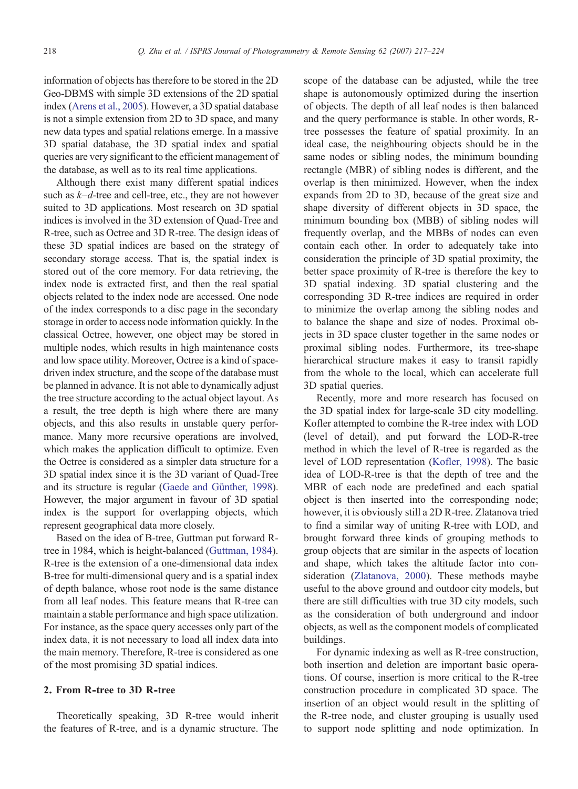information of objects has therefore to be stored in the 2D Geo-DBMS with simple 3D extensions of the 2D spatial index ([Arens et al., 2005\)](#page-7-0). However, a 3D spatial database is not a simple extension from 2D to 3D space, and many new data types and spatial relations emerge. In a massive 3D spatial database, the 3D spatial index and spatial queries are very significant to the efficient management of the database, as well as to its real time applications.

Although there exist many different spatial indices such as  $k-d$ -tree and cell-tree, etc., they are not however suited to 3D applications. Most research on 3D spatial indices is involved in the 3D extension of Quad-Tree and R-tree, such as Octree and 3D R-tree. The design ideas of these 3D spatial indices are based on the strategy of secondary storage access. That is, the spatial index is stored out of the core memory. For data retrieving, the index node is extracted first, and then the real spatial objects related to the index node are accessed. One node of the index corresponds to a disc page in the secondary storage in order to access node information quickly. In the classical Octree, however, one object may be stored in multiple nodes, which results in high maintenance costs and low space utility. Moreover, Octree is a kind of spacedriven index structure, and the scope of the database must be planned in advance. It is not able to dynamically adjust the tree structure according to the actual object layout. As a result, the tree depth is high where there are many objects, and this also results in unstable query performance. Many more recursive operations are involved, which makes the application difficult to optimize. Even the Octree is considered as a simpler data structure for a 3D spatial index since it is the 3D variant of Quad-Tree and its structure is regular [\(Gaede and Günther, 1998\)](#page-7-0). However, the major argument in favour of 3D spatial index is the support for overlapping objects, which represent geographical data more closely.

Based on the idea of B-tree, Guttman put forward Rtree in 1984, which is height-balanced [\(Guttman, 1984\)](#page-7-0). R-tree is the extension of a one-dimensional data index B-tree for multi-dimensional query and is a spatial index of depth balance, whose root node is the same distance from all leaf nodes. This feature means that R-tree can maintain a stable performance and high space utilization. For instance, as the space query accesses only part of the index data, it is not necessary to load all index data into the main memory. Therefore, R-tree is considered as one of the most promising 3D spatial indices.

#### 2. From R-tree to 3D R-tree

Theoretically speaking, 3D R-tree would inherit the features of R-tree, and is a dynamic structure. The

scope of the database can be adjusted, while the tree shape is autonomously optimized during the insertion of objects. The depth of all leaf nodes is then balanced and the query performance is stable. In other words, Rtree possesses the feature of spatial proximity. In an ideal case, the neighbouring objects should be in the same nodes or sibling nodes, the minimum bounding rectangle (MBR) of sibling nodes is different, and the overlap is then minimized. However, when the index expands from 2D to 3D, because of the great size and shape diversity of different objects in 3D space, the minimum bounding box (MBB) of sibling nodes will frequently overlap, and the MBBs of nodes can even contain each other. In order to adequately take into consideration the principle of 3D spatial proximity, the better space proximity of R-tree is therefore the key to 3D spatial indexing. 3D spatial clustering and the corresponding 3D R-tree indices are required in order to minimize the overlap among the sibling nodes and to balance the shape and size of nodes. Proximal objects in 3D space cluster together in the same nodes or proximal sibling nodes. Furthermore, its tree-shape hierarchical structure makes it easy to transit rapidly from the whole to the local, which can accelerate full 3D spatial queries.

Recently, more and more research has focused on the 3D spatial index for large-scale 3D city modelling. Kofler attempted to combine the R-tree index with LOD (level of detail), and put forward the LOD-R-tree method in which the level of R-tree is regarded as the level of LOD representation [\(Kofler, 1998\)](#page-7-0). The basic idea of LOD-R-tree is that the depth of tree and the MBR of each node are predefined and each spatial object is then inserted into the corresponding node; however, it is obviously still a 2D R-tree. Zlatanova tried to find a similar way of uniting R-tree with LOD, and brought forward three kinds of grouping methods to group objects that are similar in the aspects of location and shape, which takes the altitude factor into consideration ([Zlatanova, 2000](#page-7-0)). These methods maybe useful to the above ground and outdoor city models, but there are still difficulties with true 3D city models, such as the consideration of both underground and indoor objects, as well as the component models of complicated buildings.

For dynamic indexing as well as R-tree construction, both insertion and deletion are important basic operations. Of course, insertion is more critical to the R-tree construction procedure in complicated 3D space. The insertion of an object would result in the splitting of the R-tree node, and cluster grouping is usually used to support node splitting and node optimization. In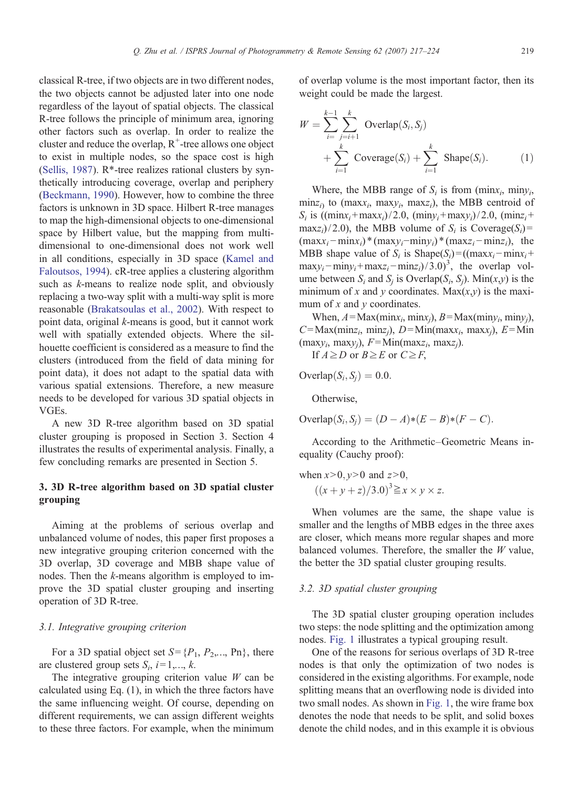classical R-tree, if two objects are in two different nodes, the two objects cannot be adjusted later into one node regardless of the layout of spatial objects. The classical R-tree follows the principle of minimum area, ignoring other factors such as overlap. In order to realize the cluster and reduce the overlap,  $R^+$ -tree allows one object to exist in multiple nodes, so the space cost is high [\(Sellis, 1987](#page-7-0)).  $R^*$ -tree realizes rational clusters by synthetically introducing coverage, overlap and periphery [\(Beckmann, 1990\)](#page-7-0). However, how to combine the three factors is unknown in 3D space. Hilbert R-tree manages to map the high-dimensional objects to one-dimensional space by Hilbert value, but the mapping from multidimensional to one-dimensional does not work well in all conditions, especially in 3D space ([Kamel and](#page-7-0) [Faloutsos, 1994](#page-7-0)). cR-tree applies a clustering algorithm such as *k*-means to realize node split, and obviously replacing a two-way split with a multi-way split is more reasonable ([Brakatsoulas et al., 2002\)](#page-7-0). With respect to point data, original k-means is good, but it cannot work well with spatially extended objects. Where the silhouette coefficient is considered as a measure to find the clusters (introduced from the field of data mining for point data), it does not adapt to the spatial data with various spatial extensions. Therefore, a new measure needs to be developed for various 3D spatial objects in VGEs.

A new 3D R-tree algorithm based on 3D spatial cluster grouping is proposed in Section 3. Section 4 illustrates the results of experimental analysis. Finally, a few concluding remarks are presented in Section 5.

# 3. 3D R-tree algorithm based on 3D spatial cluster grouping

Aiming at the problems of serious overlap and unbalanced volume of nodes, this paper first proposes a new integrative grouping criterion concerned with the 3D overlap, 3D coverage and MBB shape value of nodes. Then the k-means algorithm is employed to improve the 3D spatial cluster grouping and inserting operation of 3D R-tree.

#### 3.1. Integrative grouping criterion

For a 3D spatial object set  $S = \{P_1, P_2, \ldots, P_n\}$ , there are clustered group sets  $S_i$ ,  $i=1,..., k$ .

The integrative grouping criterion value  $W$  can be calculated using Eq. (1), in which the three factors have the same influencing weight. Of course, depending on different requirements, we can assign different weights to these three factors. For example, when the minimum

of overlap volume is the most important factor, then its weight could be made the largest.

$$
W = \sum_{i=1}^{k-1} \sum_{j=i+1}^{k} \text{Overlap}(S_i, S_j)
$$
  
+ 
$$
\sum_{i=1}^{k} \text{Coverage}(S_i) + \sum_{i=1}^{k} \text{Shape}(S_i).
$$
 (1)

Where, the MBB range of  $S_i$  is from (minx<sub>i</sub>, miny<sub>i</sub>,  $\min_{\mathbf{z}_i}$  to (maxx<sub>i</sub>, maxy<sub>i</sub>, maxz<sub>i</sub>), the MBB centroid of  $S_i$  is  $((\text{min}x_i+\text{max}x_i)/2.0, (\text{min}y_i+\text{max}y_i)/2.0, (\text{min}z_i+\text{min}z_i))$  $\max_{i}$ /2.0), the MBB volume of  $S_i$  is Coverage( $S_i$ )=  $(\max_{i} - \min_{i})*(\max_{i} - \min_{i})*(\max_{i} - \min_{i})),$  the MBB shape value of  $S_i$  is Shape( $S_i$ ) = ((maxx<sub>i</sub> − minx<sub>i</sub> +  $\max y_i - \min y_i + \max z_i - \min z_i / (3.0)^3$ , the overlap volume between  $S_i$  and  $S_i$  is Overlap( $S_i$ ,  $S_i$ ). Min( $x,y$ ) is the minimum of x and y coordinates. Max $(x,y)$  is the maximum of  $x$  and  $y$  coordinates.

When,  $A = Max(min_{i}, min_{i}, B = Max(min_{i}, min_{i}),$  $C = \text{Max}( \text{minz}_i, \text{minz}_i), D = \text{Min}( \text{maxx}_i, \text{maxx}_i), E = \text{Min}$  $(\text{max}y_i, \text{max}y_j), F=\text{Min}(\text{max}z_i, \text{max}z_j).$ 

If 
$$
A \geq D
$$
 or  $B \geq E$  or  $C \geq F$ ,

Overlap $(S_i, S_j) = 0.0$ .

Otherwise,

Overlap $(S_i, S_j) = (D - A)*(E - B)*(F - C)$ .

According to the Arithmetic–Geometric Means inequality (Cauchy proof):

when  $x>0$ ,  $y>0$  and  $z>0$ ,  $((x+y+z)/3.0)^3 \geq x \times y \times z.$ 

When volumes are the same, the shape value is smaller and the lengths of MBB edges in the three axes are closer, which means more regular shapes and more balanced volumes. Therefore, the smaller the  $W$  value, the better the 3D spatial cluster grouping results.

#### 3.2. 3D spatial cluster grouping

The 3D spatial cluster grouping operation includes two steps: the node splitting and the optimization among nodes. [Fig. 1](#page-3-0) illustrates a typical grouping result.

One of the reasons for serious overlaps of 3D R-tree nodes is that only the optimization of two nodes is considered in the existing algorithms. For example, node splitting means that an overflowing node is divided into two small nodes. As shown in [Fig. 1,](#page-3-0) the wire frame box denotes the node that needs to be split, and solid boxes denote the child nodes, and in this example it is obvious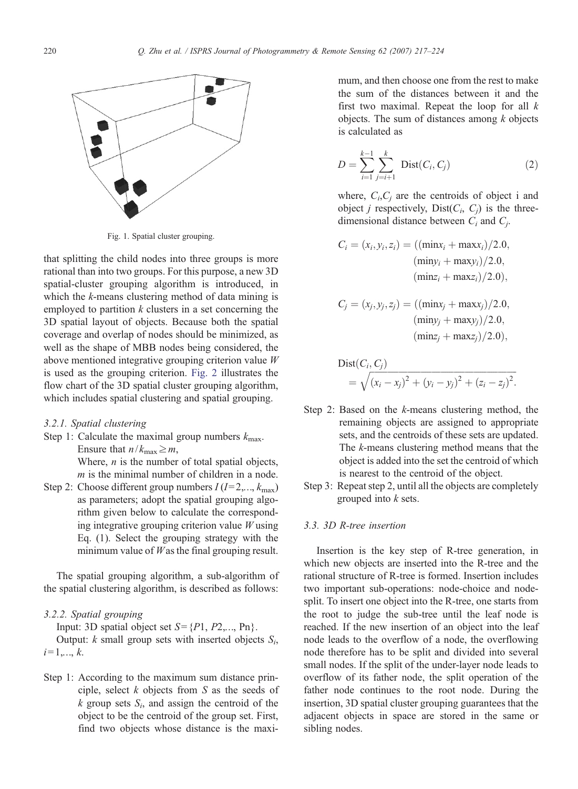<span id="page-3-0"></span>

Fig. 1. Spatial cluster grouping.

that splitting the child nodes into three groups is more rational than into two groups. For this purpose, a new 3D spatial-cluster grouping algorithm is introduced, in which the *k*-means clustering method of data mining is employed to partition  $k$  clusters in a set concerning the 3D spatial layout of objects. Because both the spatial coverage and overlap of nodes should be minimized, as well as the shape of MBB nodes being considered, the above mentioned integrative grouping criterion value W is used as the grouping criterion. [Fig. 2](#page-4-0) illustrates the flow chart of the 3D spatial cluster grouping algorithm, which includes spatial clustering and spatial grouping.

#### 3.2.1. Spatial clustering

- Step 1: Calculate the maximal group numbers  $k_{\text{max}}$ . Ensure that  $n/k_{\text{max}} \geq m$ , Where,  $n$  is the number of total spatial objects,
- $m$  is the minimal number of children in a node. Step 2: Choose different group numbers  $I(I=2,...,k_{\text{max}})$ as parameters; adopt the spatial grouping algorithm given below to calculate the corresponding integrative grouping criterion value  $W$  using Eq. (1). Select the grouping strategy with the minimum value of  $W$  as the final grouping result.

The spatial grouping algorithm, a sub-algorithm of the spatial clustering algorithm, is described as follows:

### 3.2.2. Spatial grouping

Input: 3D spatial object set  $S = \{P1, P2,..., Pn\}$ .

Output:  $k$  small group sets with inserted objects  $S_i$ ,  $i=1,...,k.$ 

Step 1: According to the maximum sum distance principle, select  $k$  objects from  $S$  as the seeds of  $k$  group sets  $S_i$ , and assign the centroid of the object to be the centroid of the group set. First, find two objects whose distance is the maximum, and then choose one from the rest to make the sum of the distances between it and the first two maximal. Repeat the loop for all  $k$ objects. The sum of distances among  $k$  objects is calculated as

$$
D = \sum_{i=1}^{k-1} \sum_{j=i+1}^{k} Dist(C_i, C_j)
$$
 (2)

where,  $C_i, C_j$  are the centroids of object i and object *j* respectively, Dist $(C_i, C_j)$  is the threedimensional distance between  $C_i$  and  $C_i$ .

$$
C_i = (x_i, y_i, z_i) = ((\min x_i + \max x_i)/2.0, \n(\min y_i + \max y_i)/2.0, \n(\min z_i + \max z_i)/2.0),
$$

$$
C_j = (x_j, y_j, z_j) = ((\min x_j + \max x_j)/2.0, (\min y_j + \max y_j)/2.0, (\min z_j + \max z_j)/2.0),
$$

$$
Dist(C_i, C_j)
$$
  
=  $\sqrt{(x_i - x_j)^2 + (y_i - y_j)^2 + (z_i - z_j)^2}$ .

- Step 2: Based on the k-means clustering method, the remaining objects are assigned to appropriate sets, and the centroids of these sets are updated. The k-means clustering method means that the object is added into the set the centroid of which is nearest to the centroid of the object.
- Step 3: Repeat step 2, until all the objects are completely grouped into k sets.

#### 3.3. 3D R-tree insertion

Insertion is the key step of R-tree generation, in which new objects are inserted into the R-tree and the rational structure of R-tree is formed. Insertion includes two important sub-operations: node-choice and nodesplit. To insert one object into the R-tree, one starts from the root to judge the sub-tree until the leaf node is reached. If the new insertion of an object into the leaf node leads to the overflow of a node, the overflowing node therefore has to be split and divided into several small nodes. If the split of the under-layer node leads to overflow of its father node, the split operation of the father node continues to the root node. During the insertion, 3D spatial cluster grouping guarantees that the adjacent objects in space are stored in the same or sibling nodes.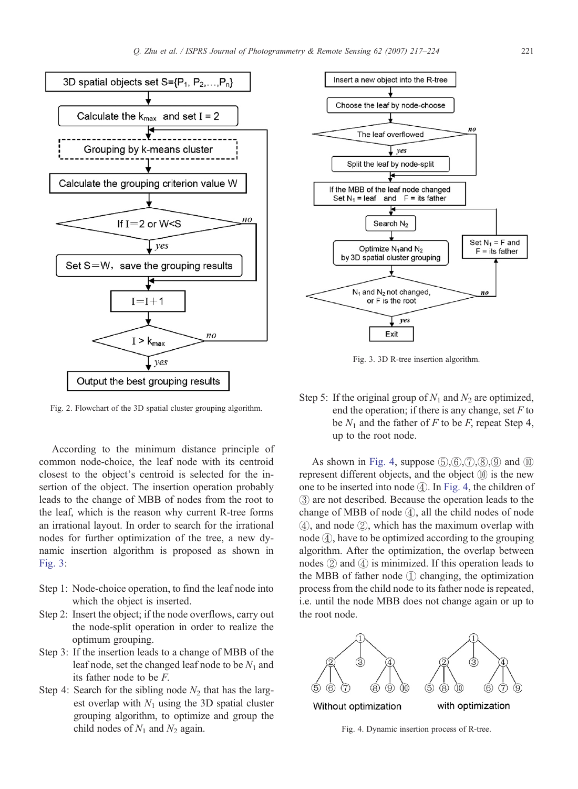<span id="page-4-0"></span>

Fig. 2. Flowchart of the 3D spatial cluster grouping algorithm.

According to the minimum distance principle of common node-choice, the leaf node with its centroid closest to the object's centroid is selected for the insertion of the object. The insertion operation probably leads to the change of MBB of nodes from the root to the leaf, which is the reason why current R-tree forms an irrational layout. In order to search for the irrational nodes for further optimization of the tree, a new dynamic insertion algorithm is proposed as shown in Fig. 3:

- Step 1: Node-choice operation, to find the leaf node into which the object is inserted.
- Step 2: Insert the object; if the node overflows, carry out the node-split operation in order to realize the optimum grouping.
- Step 3: If the insertion leads to a change of MBB of the leaf node, set the changed leaf node to be  $N_1$  and its father node to be F.
- Step 4: Search for the sibling node  $N_2$  that has the largest overlap with  $N_1$  using the 3D spatial cluster grouping algorithm, to optimize and group the child nodes of  $N_1$  and  $N_2$  again.



Fig. 3. 3D R-tree insertion algorithm.

Step 5: If the original group of  $N_1$  and  $N_2$  are optimized, end the operation; if there is any change, set  $F$  to be  $N_1$  and the father of F to be F, repeat Step 4, up to the root node.

As shown in Fig. 4, suppose  $(5), (6), (7), (8), (9)$  and  $(10)$ represent different objects, and the object ⑩ is the new one to be inserted into node ④. In Fig. 4, the children of ③ are not described. Because the operation leads to the change of MBB of node ④, all the child nodes of node ④, and node ②, which has the maximum overlap with node ④, have to be optimized according to the grouping algorithm. After the optimization, the overlap between nodes  $(2)$  and  $(4)$  is minimized. If this operation leads to the MBB of father node ① changing, the optimization process from the child node to its father node is repeated, i.e. until the node MBB does not change again or up to the root node.



Fig. 4. Dynamic insertion process of R-tree.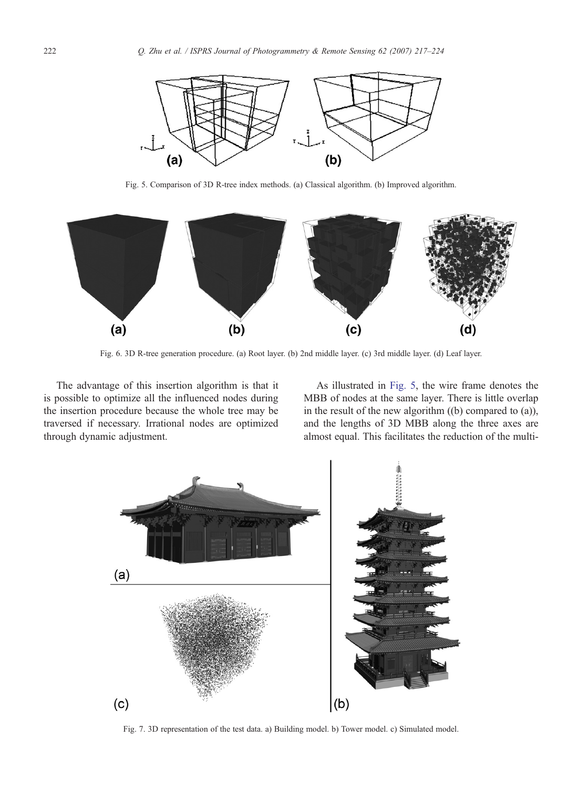<span id="page-5-0"></span>

Fig. 5. Comparison of 3D R-tree index methods. (a) Classical algorithm. (b) Improved algorithm.



Fig. 6. 3D R-tree generation procedure. (a) Root layer. (b) 2nd middle layer. (c) 3rd middle layer. (d) Leaf layer.

The advantage of this insertion algorithm is that it is possible to optimize all the influenced nodes during the insertion procedure because the whole tree may be traversed if necessary. Irrational nodes are optimized through dynamic adjustment.

As illustrated in Fig. 5, the wire frame denotes the MBB of nodes at the same layer. There is little overlap in the result of the new algorithm ((b) compared to (a)), and the lengths of 3D MBB along the three axes are almost equal. This facilitates the reduction of the multi-



Fig. 7. 3D representation of the test data. a) Building model. b) Tower model. c) Simulated model.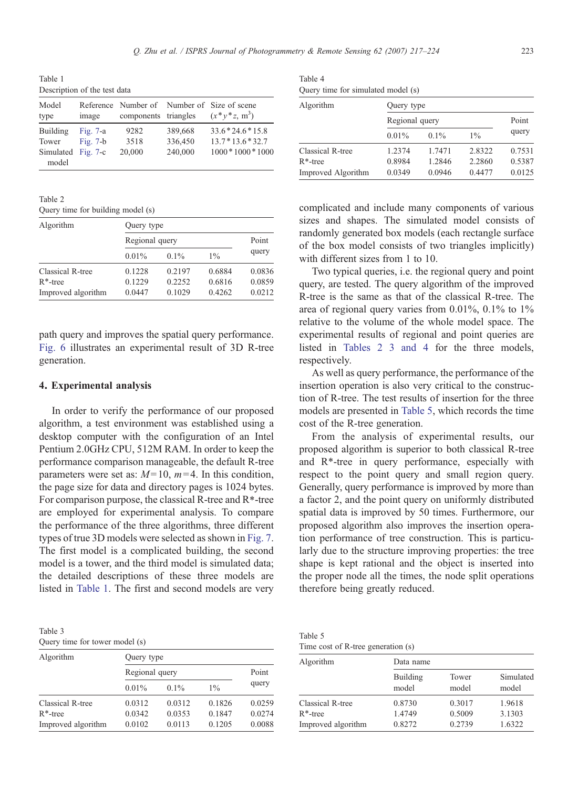Table 1 Description of the test data

| Model<br>type               | image      | components triangles |         | Reference Number of Number of Size of scene<br>$(x * y * z, m^3)$ |
|-----------------------------|------------|----------------------|---------|-------------------------------------------------------------------|
| Building                    | Fig. $7-a$ | 9282                 | 389,668 | $33.6*24.6*15.8$                                                  |
| Tower                       | Fig. $7-b$ | 3518                 | 336,450 | $13.7*13.6*32.7$                                                  |
| Simulated Fig. 7-c<br>model |            | 20,000               | 240,000 | $1000 * 1000 * 1000$                                              |

Table 2

Query time for building model (s)

| Algorithm          | Query type     |         |        |        |  |
|--------------------|----------------|---------|--------|--------|--|
|                    | Regional query |         |        | Point  |  |
|                    | 0.01%          | $0.1\%$ | $1\%$  | query  |  |
| Classical R-tree   | 0.1228         | 0.2197  | 0.6884 | 0.0836 |  |
| $R^*$ -tree        | 0.1229         | 0.2252  | 0.6816 | 0.0859 |  |
| Improved algorithm | 0.0447         | 0.1029  | 0.4262 | 0.0212 |  |

path query and improves the spatial query performance. [Fig. 6](#page-5-0) illustrates an experimental result of 3D R-tree generation.

#### 4. Experimental analysis

In order to verify the performance of our proposed algorithm, a test environment was established using a desktop computer with the configuration of an Intel Pentium 2.0GHz CPU, 512M RAM. In order to keep the performance comparison manageable, the default R-tree parameters were set as:  $M=10$ ,  $m=4$ . In this condition, the page size for data and directory pages is 1024 bytes. For comparison purpose, the classical R-tree and  $R^*$ -tree are employed for experimental analysis. To compare the performance of the three algorithms, three different types of true 3D models were selected as shown in [Fig. 7.](#page-5-0) The first model is a complicated building, the second model is a tower, and the third model is simulated data; the detailed descriptions of these three models are listed in Table 1. The first and second models are very

Table 3

| Query time for tower model (s) |  |  |  |  |
|--------------------------------|--|--|--|--|
|--------------------------------|--|--|--|--|

| Algorithm          | Query type     |         |        |        |  |
|--------------------|----------------|---------|--------|--------|--|
|                    | Regional query |         |        | Point  |  |
|                    | 0.01%          | $0.1\%$ | $1\%$  | query  |  |
| Classical R-tree   | 0.0312         | 0.0312  | 0.1826 | 0.0259 |  |
| $R^*$ -tree        | 0.0342         | 0.0353  | 0.1847 | 0.0274 |  |
| Improved algorithm | 0.0102         | 0.0113  | 0.1205 | 0.0088 |  |
|                    |                |         |        |        |  |

| Table 4                            |  |
|------------------------------------|--|
| Query time for simulated model (s) |  |

| Algorithm          | Query type     |         |        |        |  |
|--------------------|----------------|---------|--------|--------|--|
|                    | Regional query |         |        | Point  |  |
|                    | 0.01%          | $0.1\%$ | $1\%$  | query  |  |
| Classical R-tree   | 1.2374         | 1.7471  | 2.8322 | 0.7531 |  |
| $R^*$ -tree        | 0.8984         | 1.2846  | 2.2860 | 0.5387 |  |
| Improved Algorithm | 0.0349         | 0.0946  | 0.4477 | 0.0125 |  |

complicated and include many components of various sizes and shapes. The simulated model consists of randomly generated box models (each rectangle surface of the box model consists of two triangles implicitly) with different sizes from 1 to 10.

Two typical queries, i.e. the regional query and point query, are tested. The query algorithm of the improved R-tree is the same as that of the classical R-tree. The area of regional query varies from  $0.01\%$ ,  $0.1\%$  to  $1\%$ relative to the volume of the whole model space. The experimental results of regional and point queries are listed in Tables 2 3 and 4 for the three models, respectively.

As well as query performance, the performance of the insertion operation is also very critical to the construction of R-tree. The test results of insertion for the three models are presented in Table 5, which records the time cost of the R-tree generation.

From the analysis of experimental results, our proposed algorithm is superior to both classical R-tree and  $R^*$ -tree in query performance, especially with respect to the point query and small region query. Generally, query performance is improved by more than a factor 2, and the point query on uniformly distributed spatial data is improved by 50 times. Furthermore, our proposed algorithm also improves the insertion operation performance of tree construction. This is particularly due to the structure improving properties: the tree shape is kept rational and the object is inserted into the proper node all the times, the node split operations therefore being greatly reduced.

Table 5 Time cost of R-tree generation (s)

| Algorithm          | Data name         |                |                    |  |  |
|--------------------|-------------------|----------------|--------------------|--|--|
|                    | Building<br>model | Tower<br>model | Simulated<br>model |  |  |
| Classical R-tree   | 0.8730            | 0.3017         | 1.9618             |  |  |
| $R^*$ -tree        | 1.4749            | 0.5009         | 3.1303             |  |  |
| Improved algorithm | 0.8272            | 0.2739         | 1.6322             |  |  |